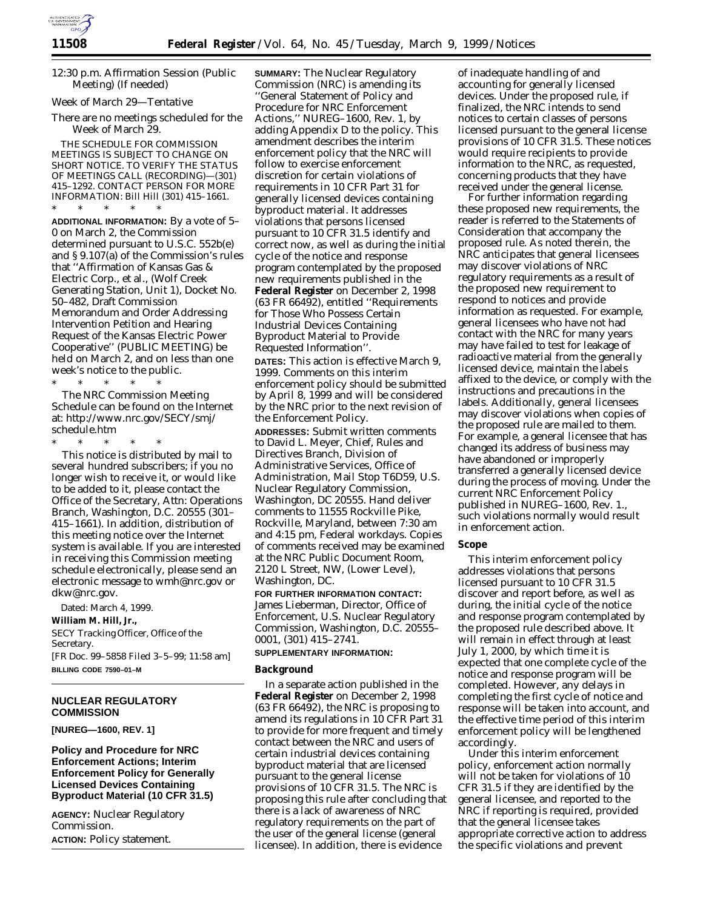

12:30 p.m. Affirmation Session (Public Meeting) (If needed)

*Week of March 29—Tentative*

There are no meetings scheduled for the Week of March 29.

THE SCHEDULE FOR COMMISSION MEETINGS IS SUBJECT TO CHANGE ON SHORT NOTICE. TO VERIFY THE STATUS OF MEETINGS CALL (RECORDING)—(301) 415–1292. CONTACT PERSON FOR MORE INFORMATION: Bill Hill (301) 415–1661.

\* \* \* \* \* **ADDITIONAL INFORMATION:** By a vote of 5– 0 on March 2, the Commission determined pursuant to U.S.C. 552b(e) and § 9.107(a) of the Commission's rules that ''Affirmation of Kansas Gas & Electric Corp., et al., (Wolf Creek Generating Station, Unit 1), Docket No. 50–482, Draft Commission Memorandum and Order Addressing Intervention Petition and Hearing Request of the Kansas Electric Power Cooperative'' (PUBLIC MEETING) be held on March 2, and on less than one week's notice to the public.

\* \* \* \* \* The NRC Commission Meeting Schedule can be found on the Internet at: http://www.nrc.gov/SECY/smj/ schedule.htm

\* \* \* \* \* This notice is distributed by mail to several hundred subscribers; if you no longer wish to receive it, or would like to be added to it, please contact the Office of the Secretary, Attn: Operations Branch, Washington, D.C. 20555 (301– 415–1661). In addition, distribution of this meeting notice over the Internet system is available. If you are interested in receiving this Commission meeting schedule electronically, please send an electronic message to wmh@nrc.gov or dkw@nrc.gov.

Dated: March 4, 1999.

**William M. Hill, Jr.,**

*SECY Tracking Officer, Office of the Secretary.*

[FR Doc. 99–5858 Filed 3–5–99; 11:58 am] **BILLING CODE 7590–01–M**

# **NUCLEAR REGULATORY COMMISSION**

**[NUREG—1600, REV. 1]**

**Policy and Procedure for NRC Enforcement Actions; Interim Enforcement Policy for Generally Licensed Devices Containing Byproduct Material (10 CFR 31.5)**

**AGENCY:** Nuclear Regulatory Commission. **ACTION:** Policy statement.

**SUMMARY:** The Nuclear Regulatory Commission (NRC) is amending its ''General Statement of Policy and Procedure for NRC Enforcement Actions,'' NUREG–1600, Rev. 1, by adding Appendix D to the policy. This amendment describes the interim enforcement policy that the NRC will follow to exercise enforcement discretion for certain violations of requirements in 10 CFR Part 31 for generally licensed devices containing byproduct material. It addresses violations that persons licensed pursuant to 10 CFR 31.5 identify and correct now, as well as during the initial cycle of the notice and response program contemplated by the proposed new requirements published in the **Federal Register** on December 2, 1998 (63 FR 66492), entitled ''Requirements for Those Who Possess Certain Industrial Devices Containing Byproduct Material to Provide Requested Information''. **DATES:** This action is effective March 9, 1999. Comments on this interim

enforcement policy should be submitted by April 8, 1999 and will be considered by the NRC prior to the next revision of the Enforcement Policy.

**ADDRESSES:** Submit written comments to David L. Meyer, Chief, Rules and Directives Branch, Division of Administrative Services, Office of Administration, Mail Stop T6D59, U.S. Nuclear Regulatory Commission, Washington, DC 20555. Hand deliver comments to 11555 Rockville Pike, Rockville, Maryland, between 7:30 am and 4:15 pm, Federal workdays. Copies of comments received may be examined at the NRC Public Document Room, 2120 L Street, NW, (Lower Level), Washington, DC.

**FOR FURTHER INFORMATION CONTACT:** James Lieberman, Director, Office of Enforcement, U.S. Nuclear Regulatory Commission, Washington, D.C. 20555– 0001, (301) 415–2741.

## **SUPPLEMENTARY INFORMATION:**

#### **Background**

In a separate action published in the **Federal Register** on December 2, 1998 (63 FR 66492), the NRC is proposing to amend its regulations in 10 CFR Part 31 to provide for more frequent and timely contact between the NRC and users of certain industrial devices containing byproduct material that are licensed pursuant to the general license provisions of 10 CFR 31.5. The NRC is proposing this rule after concluding that there is a lack of awareness of NRC regulatory requirements on the part of the user of the general license (general licensee). In addition, there is evidence

of inadequate handling of and accounting for generally licensed devices. Under the proposed rule, if finalized, the NRC intends to send notices to certain classes of persons licensed pursuant to the general license provisions of 10 CFR 31.5. These notices would require recipients to provide information to the NRC, as requested, concerning products that they have received under the general license.

For further information regarding these proposed new requirements, the reader is referred to the Statements of Consideration that accompany the proposed rule. As noted therein, the NRC anticipates that general licensees may discover violations of NRC regulatory requirements as a result of the proposed new requirement to respond to notices and provide information as requested. For example, general licensees who have not had contact with the NRC for many years may have failed to test for leakage of radioactive material from the generally licensed device, maintain the labels affixed to the device, or comply with the instructions and precautions in the labels. Additionally, general licensees may discover violations when copies of the proposed rule are mailed to them. For example, a general licensee that has changed its address of business may have abandoned or improperly transferred a generally licensed device during the process of moving. Under the current NRC Enforcement Policy published in NUREG–1600, Rev. 1., such violations normally would result in enforcement action.

#### **Scope**

This interim enforcement policy addresses violations that persons licensed pursuant to 10 CFR 31.5 discover and report before, as well as during, the initial cycle of the notice and response program contemplated by the proposed rule described above. It will remain in effect through at least July 1, 2000, by which time it is expected that one complete cycle of the notice and response program will be completed. However, any delays in completing the first cycle of notice and response will be taken into account, and the effective time period of this interim enforcement policy will be lengthened accordingly.

Under this interim enforcement policy, enforcement action normally will not be taken for violations of 10 CFR 31.5 if they are identified by the general licensee, and reported to the NRC if reporting is required, provided that the general licensee takes appropriate corrective action to address the specific violations and prevent